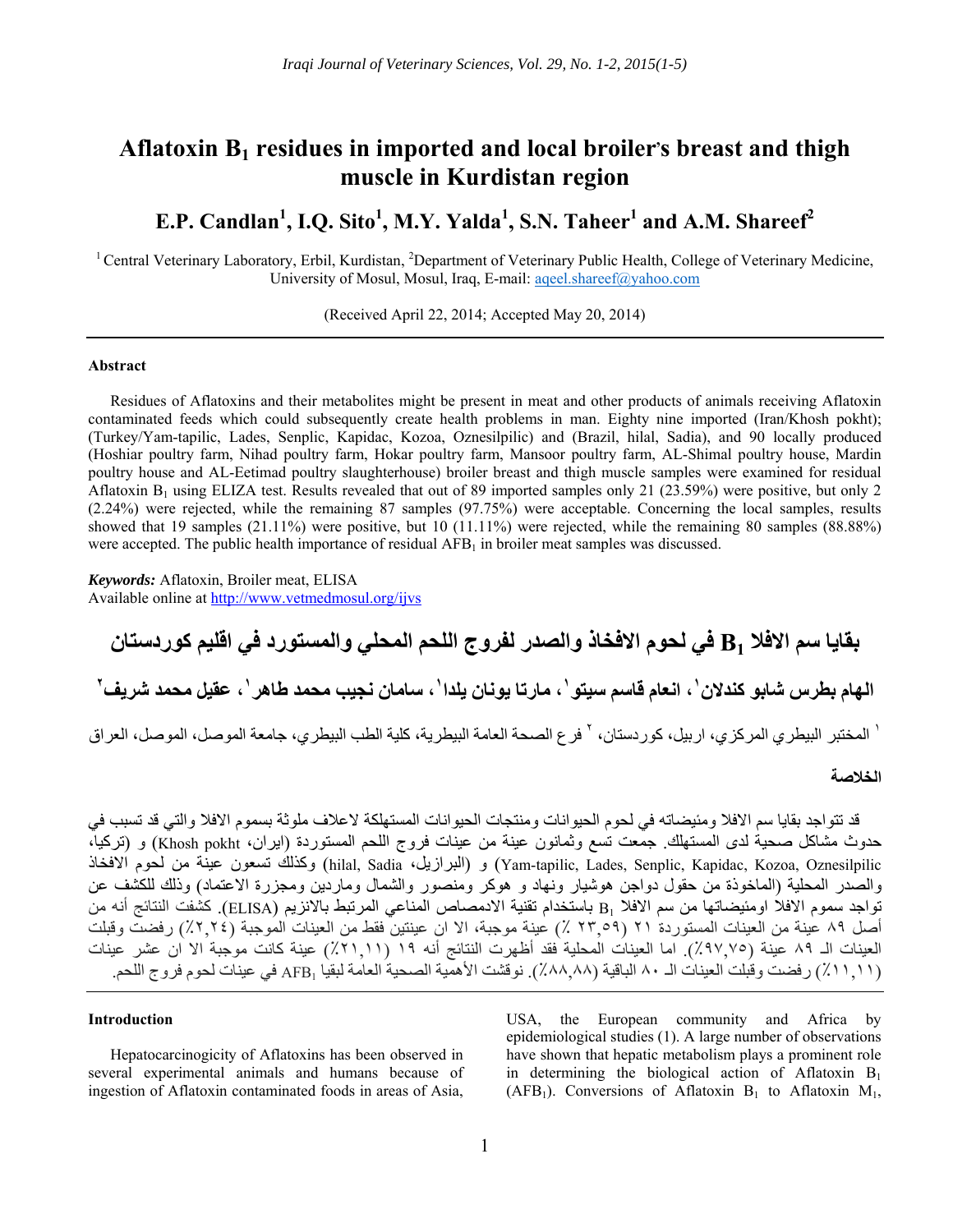# Aflatoxin B<sub>1</sub> residues in imported and local broiler's breast and thigh **muscle in Kurdistan region**

# **E.P. Candlan1 , I.Q. Sito<sup>1</sup> , M.Y. Yalda<sup>1</sup> , S.N. Taheer1 and A.M. Shareef<sup>2</sup>**

<sup>1</sup> Central Veterinary Laboratory, Erbil, Kurdistan, <sup>2</sup>Department of Veterinary Public Health, College of Veterinary Medicine, University of Mosul, Mosul, Iraq, E-mail: aqeel.shareef@yahoo.com

(Received April 22, 2014; Accepted May 20, 2014)

# **Abstract**

Residues of Aflatoxins and their metabolites might be present in meat and other products of animals receiving Aflatoxin contaminated feeds which could subsequently create health problems in man. Eighty nine imported (Iran/Khosh pokht); (Turkey/Yam-tapilic, Lades, Senplic, Kapidac, Kozoa, Oznesilpilic) and (Brazil, hilal, Sadia), and 90 locally produced (Hoshiar poultry farm, Nihad poultry farm, Hokar poultry farm, Mansoor poultry farm, AL-Shimal poultry house, Mardin poultry house and AL-Eetimad poultry slaughterhouse) broiler breast and thigh muscle samples were examined for residual Aflatoxin  $B_1$  using ELIZA test. Results revealed that out of 89 imported samples only 21 (23.59%) were positive, but only 2 (2.24%) were rejected, while the remaining 87 samples (97.75%) were acceptable. Concerning the local samples, results showed that 19 samples (21.11%) were positive, but 10 (11.11%) were rejected, while the remaining 80 samples (88.88%) were accepted. The public health importance of residual AFB<sub>1</sub> in broiler meat samples was discussed.

*Keywords:* Aflatoxin, Broiler meat, ELISA Available online at http://www.vetmedmosul.org/ijvs

**بقايا سم االفال 1B في لحوم االفخاذ والصدر لفروج اللحم المحلي والمستورد في اقليم كوردستان**  الهام بطرس شابو كندلان`، انعام قاسم سيتو`، مارتا يونان يلدا`، سامان نجيب محمد طاهر `، عقيل محمد شريف ّ

<sup>י</sup> المختبر البيطري المركزي، اربيل، كوردستان، <sup>٢</sup> فرع الصحة العامة البيطرية، كلية الطب البيطري، جامعة الموصل، الموصل، العراق

## **الخالصة**

قد تتواجد بقايا سم الافلا ومئيضاته في لحوم الحيوانات ومنتجات الحيوانات المستهلكة لاعلاف ملوثة بسموم الافلا والتي قد تسبب في حدوث مشاكل صحية لدى المستھلك. جمعت تسع وثمانون عينة من عينات فروج اللحم المستوردة (ايران، pokht Khosh (و (تركيا، االفخاذ لحوم من عينة تسعون وكذلك) hilal, Sadia ،البرازيل (و) Yam-tapilic, Lades, Senplic, Kapidac, Kozoa, Oznesilpilic والصدر المحلية (الماخوذة من حقول دواجن ھوشيار ونھاد و ھوكر ومنصور والشمال وماردين ومجزرة االعتماد) وذلك للكشف عن تواجد سموم الافلا اومئيضاتها من سم الافلا B1 باستخدام تقنية الادمصاص المناعي المرتبط بالانزيم (ELISA). كشفت النتائج أنه من أصل ٨٩ عينة من العينات المستوردة ٢١ (٢٣,٥٩ ٪) عينة موجبة، اال ان عينتين فقط من العينات الموجبة (٪٢,٢٤) رفضت وقبلت العينات الـ ٨٩ عينة (٪٩٧,٧٥). اما العينات المحلية فقد أظھرت النتائج أنه ١٩ (٪٢١,١١) عينة كانت موجبة اال ان عشر عينات (٪١١,١١) رفضت وقبلت العينات الـ ٨٠ الباقية (٪٨٨,٨٨). نوقشت األھمية الصحية العامة لبقيا 1AFB في عينات لحوم فروج اللحم.

# **Introduction**

Hepatocarcinogicity of Aflatoxins has been observed in several experimental animals and humans because of ingestion of Aflatoxin contaminated foods in areas of Asia,

USA, the European community and Africa by epidemiological studies (1). A large number of observations have shown that hepatic metabolism plays a prominent role in determining the biological action of Aflatoxin  $B_1$ (AFB<sub>1</sub>). Conversions of Aflatoxin B<sub>1</sub> to Aflatoxin M<sub>1</sub>,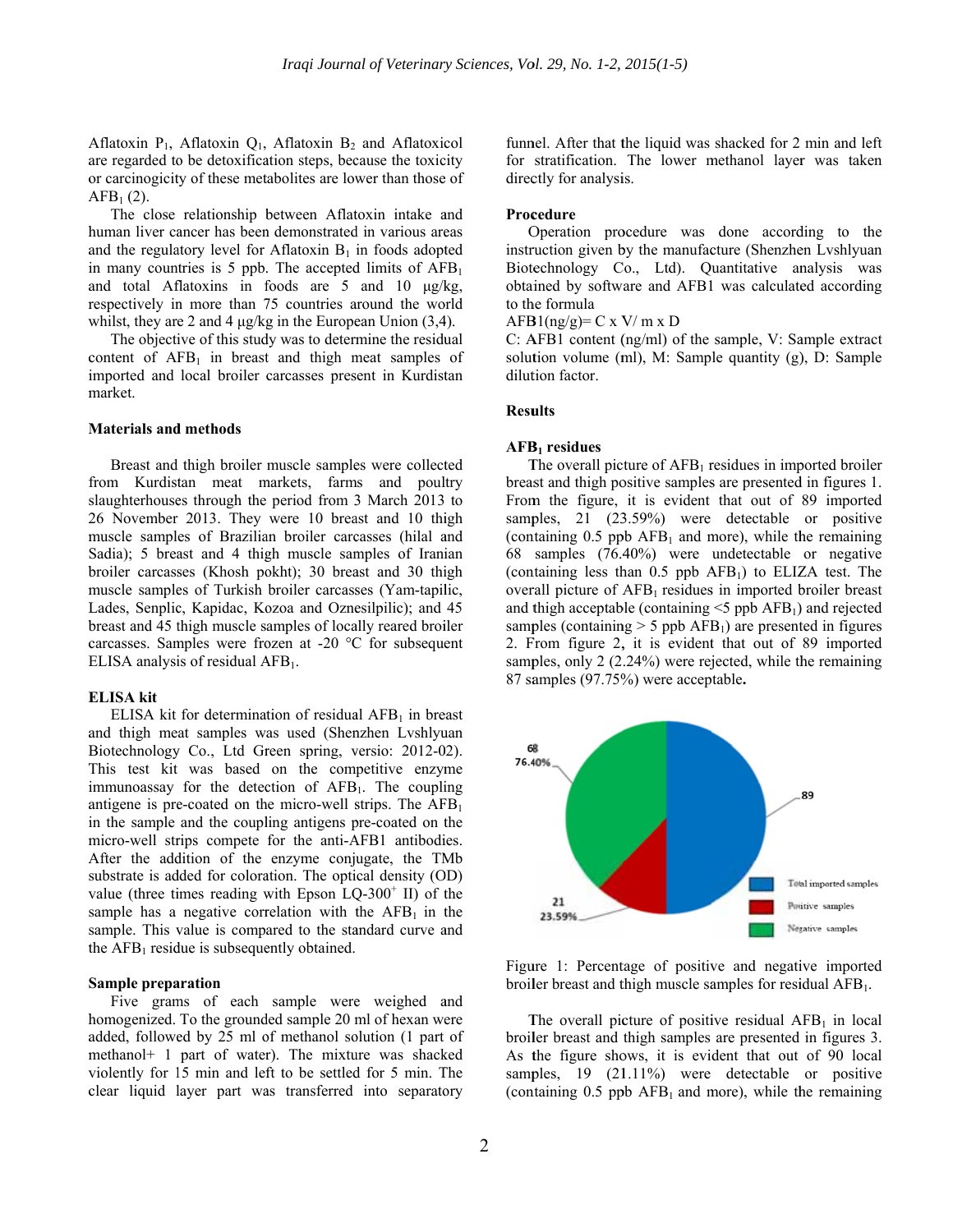Aflatoxin  $P_1$ , Aflatoxin  $Q_1$ , Aflatoxin  $B_2$  and Aflatoxicol are regarded to be detoxification steps, because the toxicity or carcinogicity of these metabolites are lower than those of  $AFB<sub>1</sub> (2).$ 

human liver cancer has been demonstrated in various areas and the regulatory level for Aflatoxin  $B_1$  in foods adopted in many countries is 5 ppb. The accepted limits of  $AFB<sub>1</sub>$ and total Aflatoxins in foods are 5 and 10 μg/kg, respectively in more than 75 countries around the world whilst, they are 2 and 4  $\mu$ g/kg in the European Union (3,4). The close relationship between Aflatoxin intake and

content of  $AFB<sub>1</sub>$  in breast and thigh meat samples of imported and local broiler carcasses present in Kurdistan m market. The objective of this study was to determine the residual

## **Materials and methods**

from Kurdistan meat markets, farms and poultry 26 November 2013. They were 10 breast and 10 thigh muscle samples of Brazilian broiler carcasses (hilal and broiler carcasses (Khosh pokht); 30 breast and 30 thigh muscle samples of Turkish broiler carcasses (Yam-tapilic, Lades, Senplic, Kapidac, Kozoa and Oznesilpilic); and 45 breast and 45 thigh muscle samples of locally reared broiler carcasses. Samples were frozen at -20 °C for subsequent ELISA analysis of residual  $AFB<sub>1</sub>$ . Breast and thigh broiler muscle samples were collected slaughterhouses through the period from 3 March 2013 to Sadia); 5 breast and 4 thigh muscle samples of Iranian

## **E ELISA kit**

and thigh meat samples was used (Shenzhen Lvshlyuan Biotechnology Co., Ltd Green spring, versio: 2012-02). This test kit was based on the competitive enzyme immunoassay for the detection of AFB<sub>1</sub>. The coupling antigene is pre-coated on the micro-well strips. The  $AFB<sub>1</sub>$ in the sample and the coupling antigens pre-coated on the micro-well strips compete for the anti-AFB1 antibodies. After the addition of the enzyme conjugate, the TMb value (three times reading with Epson  $LQ-300^+$  II) of the the  $AFB<sub>1</sub>$  residue is subsequently obtained. ELISA kit for determination of residual  $AFB<sub>1</sub>$  in breast substrate is added for coloration. The optical density (OD) sample has a negative correlation with the  $AFB<sub>1</sub>$  in the sample. This value is compared to the standard curve and

# **Sample preparation**

homogenized. To the grounded sample 20 ml of hexan were added, followed by 25 ml of methanol solution (1 part of methanol+ 1 part of water). The mixture was shacked violently for 15 min and left to be settled for 5 min. The clear liquid layer part was transferred into separatory Five grams of each sample were weighed and funnel. After that the liquid was shacked for 2 min and left for stratification. The lower methanol layer was taken directly for analysis.

## **Proc cedure**

Operation procedure was done according to the instruction given by the manufacture (Shenzhen Lvshlyuan Biotechnology Co., Ltd). Quantitative analysis was obtained by software and AFB1 was calculated according to the formula

 $AFB1(ng/g)= C x V/m x D$ 

 $C: AFB1 content (ng/ml) of the sample, V: Sample extract$ solution volume (ml), M: Sample quantity (g), D: Sample dilution factor.

## **Results**

# AFB<sub>1</sub> residues

The overall picture of  $AFB<sub>1</sub>$  residues in imported broiler breast and thigh positive samples are presented in figures 1. From the figure, it is evident that out of 89 imported samples, 21 (23.59%) were detectable or positive (containing  $0.5$  ppb AFB<sub>1</sub> and more), while the remaining 68 samples (76.4 40%) were undetectable or negative (containing less than  $0.5$  ppb  $AFB<sub>1</sub>$ ) to ELIZA test. The overall picture of AFB<sub>1</sub> residues in imported broiler breast and thigh acceptable (containing  $\leq$ 5 ppb AFB<sub>1</sub>) and rejected samples (containing  $> 5$  ppb AFB<sub>1</sub>) are presented in figures 2. From figure 2, it is evident that out of 89 imported samples, only 2 (2.24%) were rejected, while the remaining 87 sa amples (97.75% %) were accep table**.** 



Figure 1: Percentage of positive and negative imported broiler breast and thigh muscle samples for residual AFB<sub>1</sub>.

The overall picture of positive residual  $AFB<sub>1</sub>$  in local broil ler breast and thigh samples are presented in figures 3. As the figure shows, it is evident that out of 90 local samples, 19 (21.11%) were detectable or positive (containing  $0.5$  ppb AFB<sub>1</sub> and more), while the remaining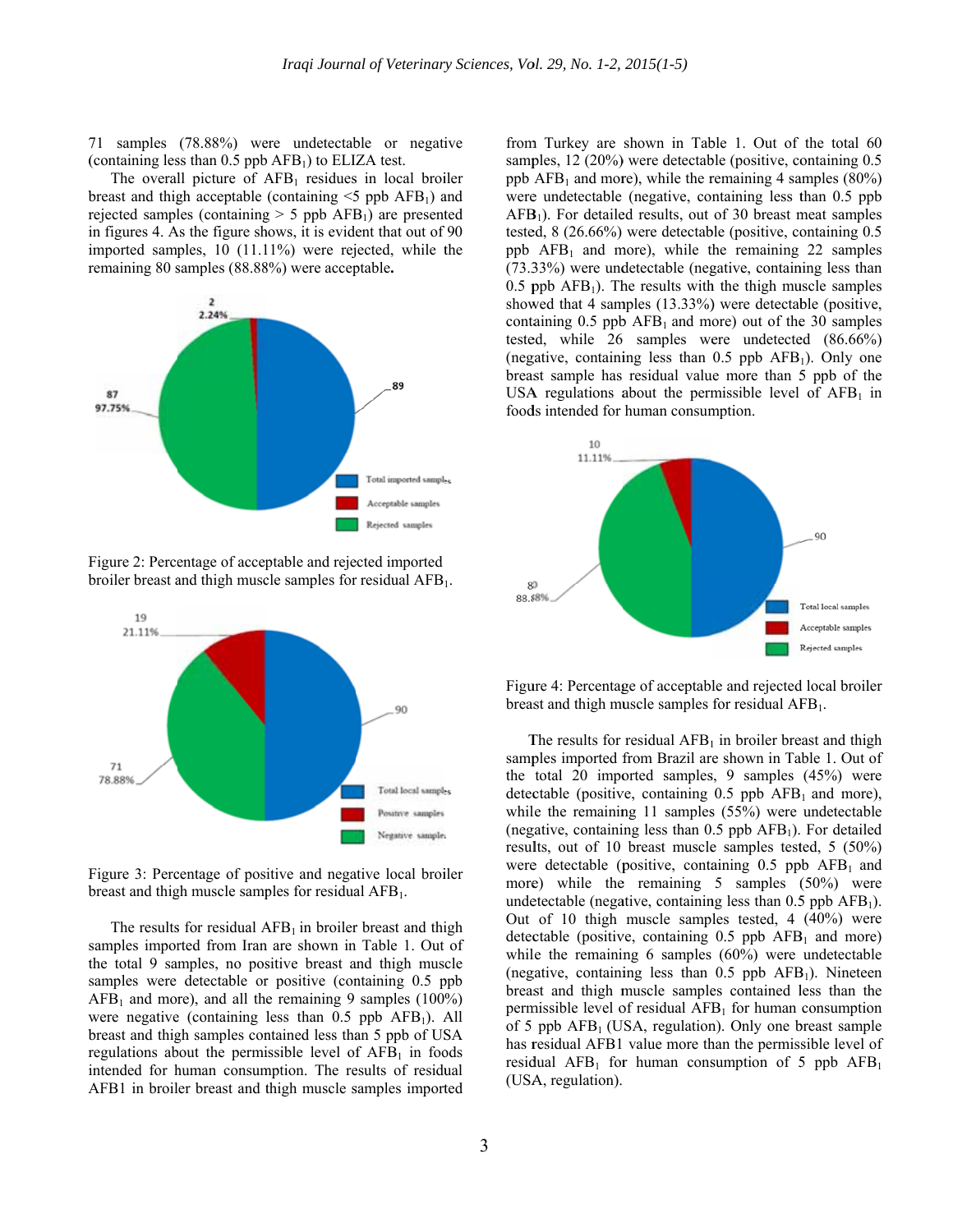71 samples (78.88%) were undetectable or negative (containing less than  $0.5$  ppb AFB<sub>1</sub>) to ELIZA test.

The overall picture of  $AFB<sub>1</sub>$  residues in local broiler breast and thigh acceptable (containing  $\leq$ 5 ppb AFB<sub>1</sub>) and rejected samples (containing  $> 5$  ppb AFB<sub>1</sub>) are presented in figures 4. As the figure shows, it is evident that out of 90 imported samples, 10 (11.11%) were rejected, while the remaining 80 samples (88.88%) were acceptable.



Figure 2: Percentage of acceptable and rejected imported broiler breast and thigh muscle samples for residual AFB<sub>1</sub>.



Figure 3: Percentage of positive and negative local broiler breast and thigh muscle samples for residual  $AFB<sub>1</sub>$ .

The results for residual  $AFB_1$  in broiler breast and thigh samples imported from Iran are shown in Table 1. Out of the total 9 samples, no positive breast and thigh muscle samples were detectable or positive (containing 0.5 ppb)  $AFB<sub>1</sub>$  and more), and all the remaining 9 samples (100%) were negative (containing less than  $0.5$  ppb AFB<sub>1</sub>). All breast and thigh samples contained less than 5 ppb of USA regulations about the permissible level of  $AFB<sub>1</sub>$  in foods intended for human consumption. The results of residual AFB1 in broiler breast and thigh muscle samples imported

from Turkey are shown in Table 1. Out of the total 60 samples, 12 (20%) were detectable (positive, containing 0.5 ppb  $AFB<sub>1</sub>$  and more), while the remaining 4 samples (80%) were undetectable (negative, containing less than 0.5 ppb  $AFB<sub>1</sub>$ ). For detailed results, out of 30 breast meat samples tested,  $8(26.66\%)$  were detectable (positive, containing 0.5) ppb  $AFB<sub>1</sub>$  and more), while the remaining 22 samples  $(73.33\%)$  were undetectable (negative, containing less than  $0.5$  ppb AFB<sub>1</sub>). The results with the thigh muscle samples showed that 4 samples (13.33%) were detectable (positive, containing  $0.5$  ppb AFB<sub>1</sub> and more) out of the 30 samples tested, while 26 samples were undetected (86.66%) (negative, containing less than  $0.5$  ppb  $AFB<sub>1</sub>$ ). Only one breast sample has residual value more than 5 ppb of the USA regulations about the permissible level of  $AFB<sub>1</sub>$  in foods intended for human consumption.



Figure 4: Percentage of acceptable and rejected local broiler breast and thigh muscle samples for residual  $AFB<sub>1</sub>$ .

The results for residual  $AFB<sub>1</sub>$  in broiler breast and thigh samples imported from Brazil are shown in Table 1. Out of the total 20 imported samples, 9 samples  $(45%)$  were detectable (positive, containing  $0.5$  ppb AFB<sub>1</sub> and more), while the remaining 11 samples (55%) were undetectable (negative, containing less than  $0.5$  ppb AFB<sub>1</sub>). For detailed results, out of 10 breast muscle samples tested, 5 (50%) were detectable (positive, containing  $0.5$  ppb  $AFB<sub>1</sub>$  and more) while the remaining  $5$  samples  $(50\%)$  were undetectable (negative, containing less than  $0.5$  ppb AFB<sub>1</sub>). Out of 10 thigh muscle samples tested, 4  $(40\%)$  were detectable (positive, containing  $0.5$  ppb AFB<sub>1</sub> and more) while the remaining 6 samples  $(60\%)$  were undetectable (negative, containing less than  $0.5$  ppb AFB<sub>1</sub>). Nineteen breast and thigh muscle samples contained less than the permissible level of residual  $AFB<sub>1</sub>$  for human consumption of 5 ppb  $AFB<sub>1</sub>$  (USA, regulation). Only one breast sample has residual AFB1 value more than the permissible level of residual  $AFB_1$  for human consumption of 5 ppb  $AFB_1$ (USA, regulation).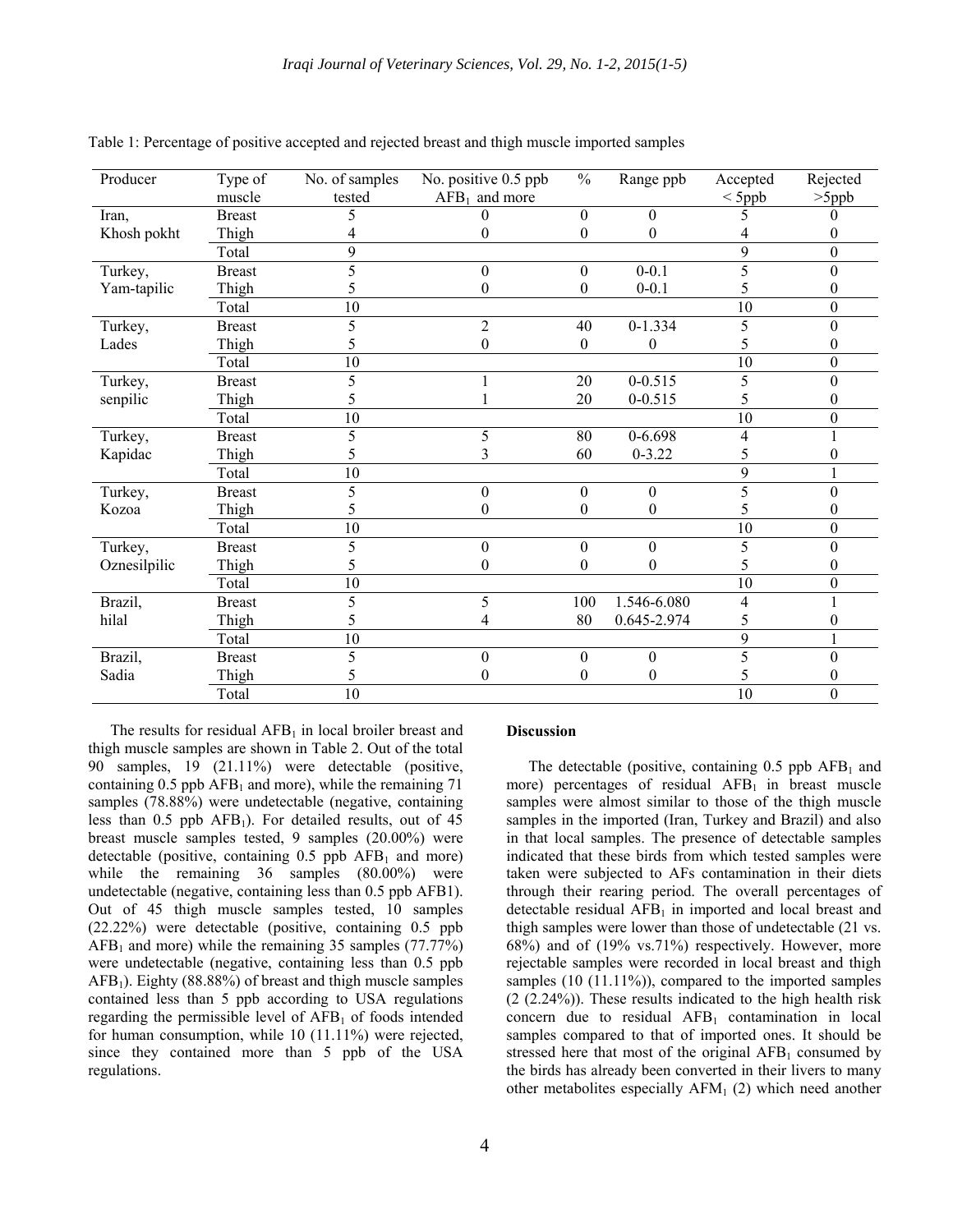| Producer     | Type of       | No. of samples | No. positive 0.5 ppb | $\frac{0}{0}$ | Range ppb        | Accepted    | Rejected |
|--------------|---------------|----------------|----------------------|---------------|------------------|-------------|----------|
|              | muscle        | tested         | $AFB1$ and more      |               |                  | $\leq$ 5ppb | $>5$ ppb |
| Iran,        | <b>Breast</b> |                | 0                    | $\Omega$      | $\Omega$         |             |          |
| Khosh pokht  | Thigh         |                | 0                    | 0             | $\theta$         |             |          |
|              | Total         | 9              |                      |               |                  | 9           | 0        |
| Turkey,      | <b>Breast</b> |                | 0                    | $\theta$      | $0 - 0.1$        | 5           |          |
| Yam-tapilic  | Thigh         |                | 0                    | 0             | $0 - 0.1$        | 5           |          |
|              | Total         | 10             |                      |               |                  | 10          | 0        |
| Turkey,      | <b>Breast</b> | 5              | $\overline{c}$       | 40            | $0-1.334$        | 5           |          |
| Lades        | Thigh         | 5              | 0                    | $\theta$      | $\boldsymbol{0}$ | 5           |          |
|              | Total         | 10             |                      |               |                  | 10          | 0        |
| Turkey,      | <b>Breast</b> | 5              |                      | 20            | $0 - 0.515$      | 5           | 0        |
| senpilic     | Thigh         |                |                      | 20            | $0 - 0.515$      | 5           |          |
|              | Total         | 10             |                      |               |                  | 10          | 0        |
| Turkey,      | <b>Breast</b> | 5.             | 5                    | 80            | $0 - 6.698$      | 4           |          |
| Kapidac      | Thigh         |                |                      | 60            | $0 - 3.22$       | 5           |          |
|              | Total         | 10             |                      |               |                  | 9           |          |
| Turkey,      | <b>Breast</b> | 5.             | $\theta$             | $\Omega$      | $\theta$         | 5           |          |
| Kozoa        | Thigh         |                | 0                    | 0             | $\theta$         |             |          |
|              | Total         | 10             |                      |               |                  | 10          | 0        |
| Turkey,      | <b>Breast</b> | 5              | $\theta$             | $\Omega$      | $\mathbf{0}$     | 5           |          |
| Oznesilpilic | Thigh         |                | 0                    | 0             | 0                | 5           |          |
|              | Total         | 10             |                      |               |                  | 10          | 0        |
| Brazil,      | <b>Breast</b> | 5              | 5                    | 100           | 1.546-6.080      | 4           |          |
| hilal        | Thigh         | 5.             |                      | 80            | 0.645-2.974      | 5           |          |
|              | Total         | 10             |                      |               |                  | 9           |          |
| Brazil,      | <b>Breast</b> |                | $\Omega$             | $\theta$      | $\theta$         |             |          |
| Sadia        | Thigh         |                | 0                    | 0             | 0                |             |          |
|              | Total         | 10             |                      |               |                  | 10          | $\theta$ |

Table 1: Percentage of positive accepted and rejected breast and thigh muscle imported samples

The results for residual  $AFB<sub>1</sub>$  in local broiler breast and thigh muscle samples are shown in Table 2. Out of the total 90 samples, 19 (21.11%) were detectable (positive, containing  $0.5$  ppb AFB<sub>1</sub> and more), while the remaining 71 samples (78.88%) were undetectable (negative, containing less than  $0.5$  ppb AFB<sub>1</sub>). For detailed results, out of 45 breast muscle samples tested, 9 samples (20.00%) were detectable (positive, containing  $0.5$  ppb  $AFB<sub>1</sub>$  and more) while the remaining 36 samples (80.00%) were undetectable (negative, containing less than 0.5 ppb AFB1). Out of 45 thigh muscle samples tested, 10 samples (22.22%) were detectable (positive, containing 0.5 ppb  $AFB<sub>1</sub>$  and more) while the remaining 35 samples (77.77%) were undetectable (negative, containing less than 0.5 ppb  $AFB<sub>1</sub>$ ). Eighty (88.88%) of breast and thigh muscle samples contained less than 5 ppb according to USA regulations regarding the permissible level of  $AFB<sub>1</sub>$  of foods intended for human consumption, while 10 (11.11%) were rejected, since they contained more than 5 ppb of the USA regulations.

# **Discussion**

The detectable (positive, containing  $0.5$  ppb AFB<sub>1</sub> and more) percentages of residual  $AFB<sub>1</sub>$  in breast muscle samples were almost similar to those of the thigh muscle samples in the imported (Iran, Turkey and Brazil) and also in that local samples. The presence of detectable samples indicated that these birds from which tested samples were taken were subjected to AFs contamination in their diets through their rearing period. The overall percentages of detectable residual  $AFB<sub>1</sub>$  in imported and local breast and thigh samples were lower than those of undetectable (21 vs. 68%) and of (19% vs.71%) respectively. However, more rejectable samples were recorded in local breast and thigh samples (10 (11.11%)), compared to the imported samples (2 (2.24%)). These results indicated to the high health risk concern due to residual  $AFB<sub>1</sub>$  contamination in local samples compared to that of imported ones. It should be stressed here that most of the original  $AFB<sub>1</sub>$  consumed by the birds has already been converted in their livers to many other metabolites especially  $AFM<sub>1</sub>(2)$  which need another